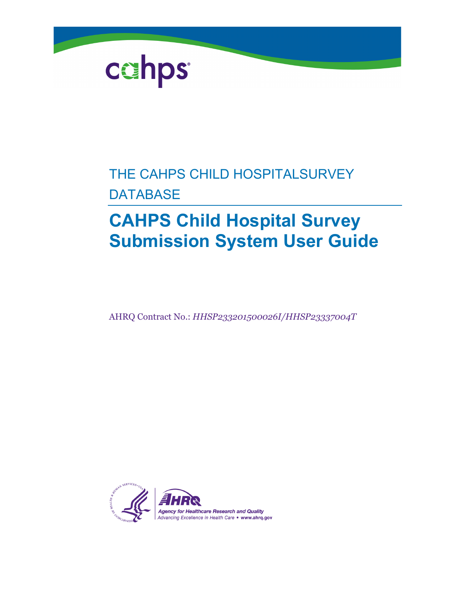

### THE CAHPS CHILD HOSPITALSURVEY **DATABASE**

### **CAHPS Child Hospital Survey Submission System User Guide**

AHRQ Contract No.: *HHSP233201500026I/HHSP23337004T*

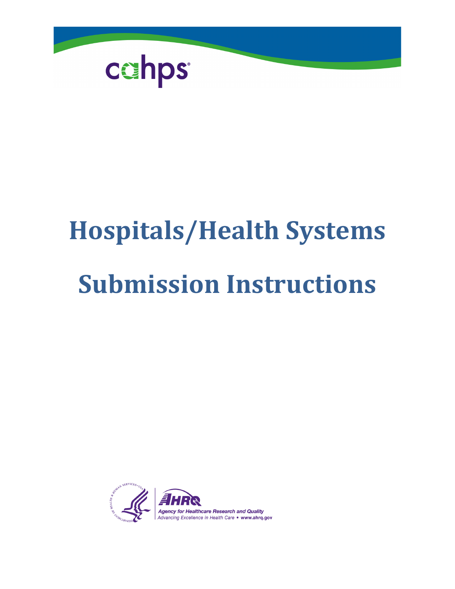

# **Hospitals/Health Systems Submission Instructions**

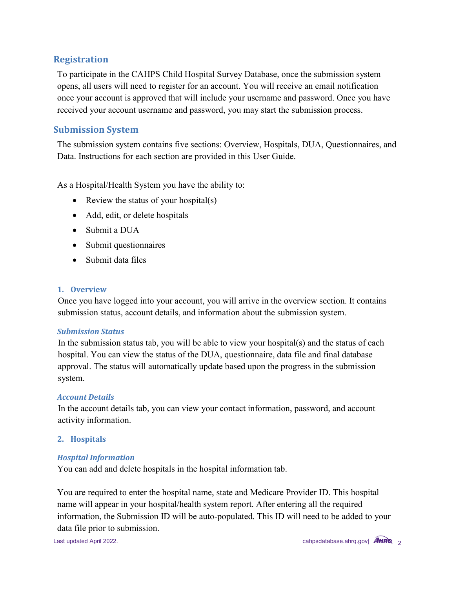### **Registration**

To participate in the CAHPS Child Hospital Survey Database, once the submission system opens, all users will need to register for an account. You will receive an email notification once your account is approved that will include your username and password. Once you have received your account username and password, you may start the submission process.

### **Submission System**

The submission system contains five sections: Overview, Hospitals, DUA, Questionnaires, and Data. Instructions for each section are provided in this User Guide.

As a Hospital/Health System you have the ability to:

- Review the status of your hospital(s)
- Add, edit, or delete hospitals
- Submit a DUA
- Submit questionnaires
- Submit data files

### **1. Overview**

Once you have logged into your account, you will arrive in the overview section. It contains submission status, account details, and information about the submission system.

### *Submission Status*

In the submission status tab, you will be able to view your hospital(s) and the status of each hospital. You can view the status of the DUA, questionnaire, data file and final database approval. The status will automatically update based upon the progress in the submission system.

### *Account Details*

In the account details tab, you can view your contact information, password, and account activity information.

### **2. Hospitals**

### *Hospital Information*

You can add and delete hospitals in the hospital information tab.

You are required to enter the hospital name, state and Medicare Provider ID. This hospital name will appear in your hospital/health system report. After entering all the required information, the Submission ID will be auto-populated. This ID will need to be added to your data file prior to submission.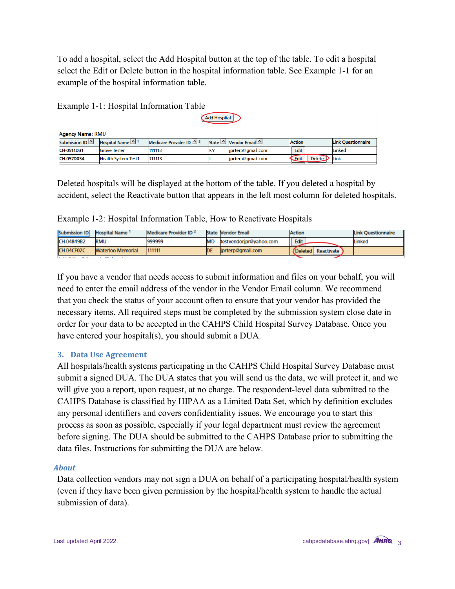To add a hospital, select the Add Hospital button at the top of the table. To edit a hospital select the Edit or Delete button in the hospital information table. See Example 1-1 for an example of the hospital information table.

| Ежинріс 1 1.105 ріші шістіншісі табіс |                            |                          |    |                      |                             |                           |  |
|---------------------------------------|----------------------------|--------------------------|----|----------------------|-----------------------------|---------------------------|--|
| <b>Add Hospital</b>                   |                            |                          |    |                      |                             |                           |  |
| <b>Agency Name: RMU</b>               |                            |                          |    |                      |                             |                           |  |
| Submission ID                         | Hospital Name 1            | Medicare Provider ID ^ 2 |    | State Nendor Email 1 | <b>Action</b>               | <b>Link Questionnaire</b> |  |
| CH-0514D31                            | <b>Grove Tester</b>        | 111113                   | v٧ | iprterp@gmail.com    | Edit                        | Linked                    |  |
| CH-057D034                            | <b>Health System Test1</b> | 311113                   |    | iprterp@gmail.com    | Edit<br>Delete <sub>1</sub> | Link                      |  |

Deleted hospitals will be displayed at the bottom of the table. If you deleted a hospital by accident, select the Reactivate button that appears in the left most column for deleted hospitals.

Example 1-2: Hospital Information Table, How to Reactivate Hospitals

Example  $1-1$ : Hospital Information Table

| Submission ID | <b>Hospital Name</b>     | Medicare Provider ID <sup>2</sup> |    | State Vendor Email      | Action |                       | Link Ouestionnaire |
|---------------|--------------------------|-----------------------------------|----|-------------------------|--------|-----------------------|--------------------|
| CH-04849B2    | RMU                      | 999999                            |    | testvendoripr@yahoo.com | Edit   |                       | Linked             |
| CH-04CF02C    | <b>Waterloo Memorial</b> | 111111                            | DF | liprterp@gmail.com      |        | (Deleted Reactivate ) |                    |

If you have a vendor that needs access to submit information and files on your behalf, you will need to enter the email address of the vendor in the Vendor Email column. We recommend that you check the status of your account often to ensure that your vendor has provided the necessary items. All required steps must be completed by the submission system close date in order for your data to be accepted in the CAHPS Child Hospital Survey Database. Once you have entered your hospital(s), you should submit a DUA.

### **3. Data Use Agreement**

All hospitals/health systems participating in the CAHPS Child Hospital Survey Database must submit a signed DUA. The DUA states that you will send us the data, we will protect it, and we will give you a report, upon request, at no charge. The respondent-level data submitted to the CAHPS Database is classified by HIPAA as a Limited Data Set, which by definition excludes any personal identifiers and covers confidentiality issues. We encourage you to start this process as soon as possible, especially if your legal department must review the agreement before signing. The DUA should be submitted to the CAHPS Database prior to submitting the data files. Instructions for submitting the DUA are below.

### *About*

Data collection vendors may not sign a DUA on behalf of a participating hospital/health system (even if they have been given permission by the hospital/health system to handle the actual submission of data).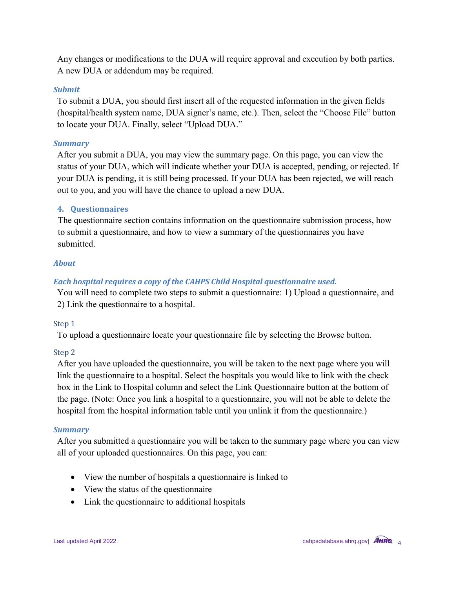Any changes or modifications to the DUA will require approval and execution by both parties. A new DUA or addendum may be required.

### *Submit*

To submit a DUA, you should first insert all of the requested information in the given fields (hospital/health system name, DUA signer's name, etc.). Then, select the "Choose File" button to locate your DUA. Finally, select "Upload DUA."

### *Summary*

After you submit a DUA, you may view the summary page. On this page, you can view the status of your DUA, which will indicate whether your DUA is accepted, pending, or rejected. If your DUA is pending, it is still being processed. If your DUA has been rejected, we will reach out to you, and you will have the chance to upload a new DUA.

### **4. Questionnaires**

The questionnaire section contains information on the questionnaire submission process, how to submit a questionnaire, and how to view a summary of the questionnaires you have submitted.

### *About*

### *Each hospital requires a copy of the CAHPS Child Hospital questionnaire used.*

You will need to complete two steps to submit a questionnaire: 1) Upload a questionnaire, and 2) Link the questionnaire to a hospital.

### Step 1

To upload a questionnaire locate your questionnaire file by selecting the Browse button.

### Step 2

After you have uploaded the questionnaire, you will be taken to the next page where you will link the questionnaire to a hospital. Select the hospitals you would like to link with the check box in the Link to Hospital column and select the Link Questionnaire button at the bottom of the page. (Note: Once you link a hospital to a questionnaire, you will not be able to delete the hospital from the hospital information table until you unlink it from the questionnaire.)

### *Summary*

After you submitted a questionnaire you will be taken to the summary page where you can view all of your uploaded questionnaires. On this page, you can:

- View the number of hospitals a questionnaire is linked to
- View the status of the questionnaire
- Link the questionnaire to additional hospitals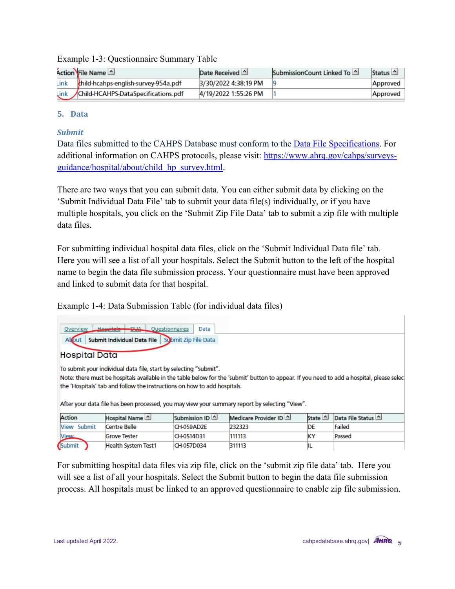|      | Action File Name                          | Date Received 4      | SubmissionCount Linked To 4 | Status <sup>1</sup> |
|------|-------------------------------------------|----------------------|-----------------------------|---------------------|
| Link | thild-hcahps-english-survey-954a.pdf      | 3/30/2022 4:38:19 PM |                             | Approved            |
|      | Link /Child-HCAHPS-DataSpecifications.pdf | 4/19/2022 1:55:26 PM |                             | Approved            |

### Example 1-3: Questionnaire Summary Table

### **5. Data**

### *Submit*

Data files submitted to the CAHPS Database must conform to the [Data File Specifications.](https://cahpsdatabase.ahrq.gov/CHDSS/login.aspx) For additional information on CAHPS protocols, please visit: [https://www.ahrq.gov/cahps/surveys](https://www.ahrq.gov/cahps/surveys-guidance/hospital/about/child_hp_survey.html)[guidance/hospital/about/child\\_hp\\_survey.html](https://www.ahrq.gov/cahps/surveys-guidance/hospital/about/child_hp_survey.html).

There are two ways that you can submit data. You can either submit data by clicking on the 'Submit Individual Data File' tab to submit your data file(s) individually, or if you have multiple hospitals, you click on the 'Submit Zip File Data' tab to submit a zip file with multiple data files.

For submitting individual hospital data files, click on the 'Submit Individual Data file' tab. Here you will see a list of all your hospitals. Select the Submit button to the left of the hospital name to begin the data file submission process. Your questionnaire must have been approved and linked to submit data for that hospital.

Example 1-4: Data Submission Table (for individual data files)

| Hospitale-<br><b>DUA</b><br>Overview<br>Questionnaires<br>Data<br>Submit Individual Data File<br>Submit Zip File Data<br>Alcout                                                                                                                                                                                                                                                              |                     |               |                        |                |                  |  |  |  |
|----------------------------------------------------------------------------------------------------------------------------------------------------------------------------------------------------------------------------------------------------------------------------------------------------------------------------------------------------------------------------------------------|---------------------|---------------|------------------------|----------------|------------------|--|--|--|
| <b>Hospital Data</b>                                                                                                                                                                                                                                                                                                                                                                         |                     |               |                        |                |                  |  |  |  |
| To submit your individual data file, start by selecting "Submit".<br>Note: there must be hospitals available in the table below for the 'submit' button to appear. If you need to add a hospital, please selec<br>the 'Hospitals' tab and follow the instructions on how to add hospitals.<br>After your data file has been processed, you may view your summary report by selecting "View". |                     |               |                        |                |                  |  |  |  |
| Action                                                                                                                                                                                                                                                                                                                                                                                       | Hospital Name       | Submission ID | Medicare Provider ID 4 | State <u>^</u> | Data File Status |  |  |  |
| <b>Niew Submit</b>                                                                                                                                                                                                                                                                                                                                                                           | Centre Belle        | CH-059AD2E    | 232323                 | DE             | Failed           |  |  |  |
| <b>View</b>                                                                                                                                                                                                                                                                                                                                                                                  | <b>Grove Tester</b> | CH-0514D31    | 111113                 | ΚY             | Passed           |  |  |  |
| (Submit                                                                                                                                                                                                                                                                                                                                                                                      | Health System Test1 | CH-057D034    | 311113                 | IL             |                  |  |  |  |

For submitting hospital data files via zip file, click on the 'submit zip file data' tab. Here you will see a list of all your hospitals. Select the Submit button to begin the data file submission process. All hospitals must be linked to an approved questionnaire to enable zip file submission.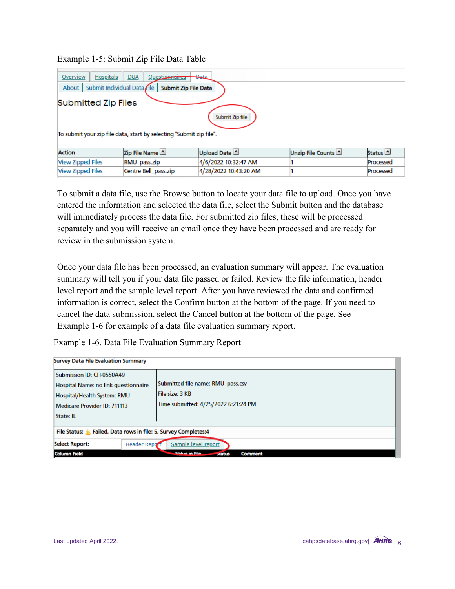### Example 1-5: Submit Zip File Data Table

| Overview<br>Hospitals<br><b>DUA</b><br><del>Da</del> ta<br>Questionnaires |
|---------------------------------------------------------------------------|
| Submit Individual Data File<br><b>Submit Zip File Data</b><br>About       |
| <b>Submitted Zip Files</b><br>Submit Zip file                             |
| To submit your zip file data, start by selecting "Submit zip file".       |

| <b>Action</b>            | Zip File Name        | Upload Date 4         | Unzip File Counts | Status <sup>1</sup> |
|--------------------------|----------------------|-----------------------|-------------------|---------------------|
| <b>View Zipped Files</b> | RMU pass.zip         | 4/6/2022 10:32:47 AM  |                   | Processed           |
| <b>Niew Zipped Files</b> | Centre Bell pass.zip | 4/28/2022 10:43:20 AM |                   | Processed           |

To submit a data file, use the Browse button to locate your data file to upload. Once you have entered the information and selected the data file, select the Submit button and the database will immediately process the data file. For submitted zip files, these will be processed separately and you will receive an email once they have been processed and are ready for review in the submission system.

Once your data file has been processed, an evaluation summary will appear. The evaluation summary will tell you if your data file passed or failed. Review the file information, header level report and the sample level report. After you have reviewed the data and confirmed information is correct, select the Confirm button at the bottom of the page. If you need to cancel the data submission, select the Cancel button at the bottom of the page. See Example 1-6 for example of a data file evaluation summary report.

Example 1-6. Data File Evaluation Summary Report

| <b>Survey Data File Evaluation Summary</b>                                                                                                    |                                                                                              |  |  |  |  |  |
|-----------------------------------------------------------------------------------------------------------------------------------------------|----------------------------------------------------------------------------------------------|--|--|--|--|--|
| Submission ID: CH-0550A49<br>Hospital Name: no link questionnaire<br>Hospital/Health System: RMU<br>Medicare Provider ID: 711113<br>State: IL | Submitted file name: RMU pass.csv<br>File size: 3 KB<br>Time submitted: 4/25/2022 6:21:24 PM |  |  |  |  |  |
| File Status: A Failed, Data rows in file: 5, Survey Completes: 4                                                                              |                                                                                              |  |  |  |  |  |
| <b>Select Report:</b><br>Sample level report<br><b>Header Report</b>                                                                          |                                                                                              |  |  |  |  |  |
| <b>Column Field</b>                                                                                                                           | <b><i><u>Valua in Fila.</u></i></b><br><b>Comment</b><br><b>Status</b>                       |  |  |  |  |  |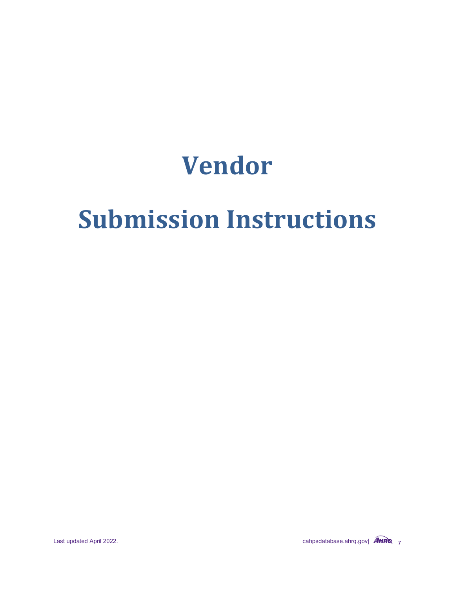## **Vendor**

# **Submission Instructions**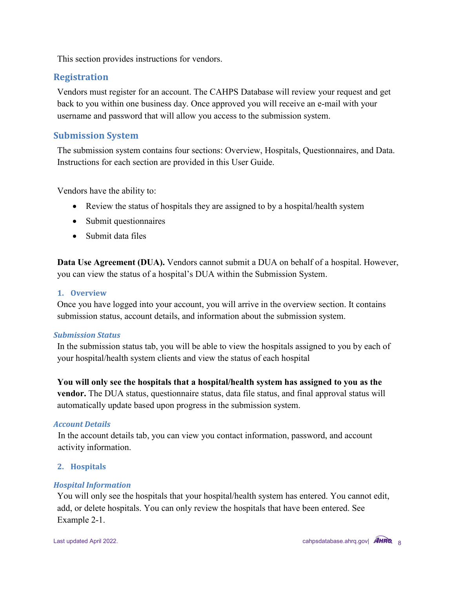This section provides instructions for vendors.

### **Registration**

Vendors must register for an account. The CAHPS Database will review your request and get back to you within one business day. Once approved you will receive an e-mail with your username and password that will allow you access to the submission system.

### **Submission System**

The submission system contains four sections: Overview, Hospitals, Questionnaires, and Data. Instructions for each section are provided in this User Guide.

Vendors have the ability to:

- Review the status of hospitals they are assigned to by a hospital/health system
- Submit questionnaires
- Submit data files

**Data Use Agreement (DUA).** Vendors cannot submit a DUA on behalf of a hospital. However, you can view the status of a hospital's DUA within the Submission System.

### **1. Overview**

Once you have logged into your account, you will arrive in the overview section. It contains submission status, account details, and information about the submission system.

### *Submission Status*

In the submission status tab, you will be able to view the hospitals assigned to you by each of your hospital/health system clients and view the status of each hospital

**You will only see the hospitals that a hospital/health system has assigned to you as the vendor.** The DUA status, questionnaire status, data file status, and final approval status will automatically update based upon progress in the submission system.

### *Account Details*

In the account details tab, you can view you contact information, password, and account activity information.

### **2. Hospitals**

### *Hospital Information*

You will only see the hospitals that your hospital/health system has entered. You cannot edit, add, or delete hospitals. You can only review the hospitals that have been entered. See Example 2-1.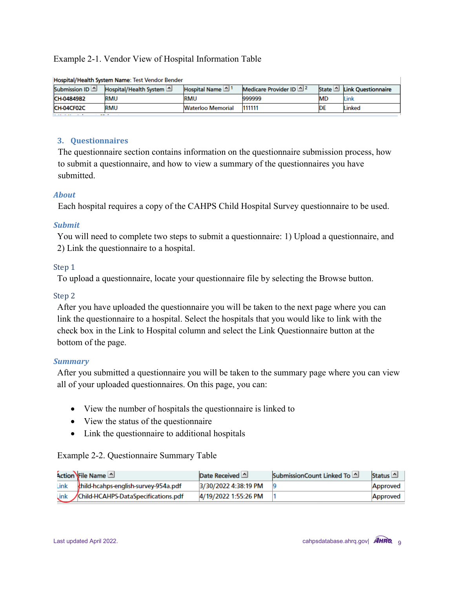### Example 2-1. Vendor View of Hospital Information Table

| Submission ID 4 | Hospital/Health System 1 | Hospital Name            | <b>Medicare Provider ID</b> $\Delta^2$ |           | State <b>No. 1.</b> Link Questionnaire |  |  |  |
|-----------------|--------------------------|--------------------------|----------------------------------------|-----------|----------------------------------------|--|--|--|
| CH-04849B2      | <b>RMU</b>               | <b>RMU</b>               | 999999                                 | <b>MD</b> | Link                                   |  |  |  |
| CH-04CF02C      | <b>RMU</b>               | <b>Waterloo Memorial</b> | 111111                                 | DE        | Linked                                 |  |  |  |
| ____            |                          |                          |                                        |           |                                        |  |  |  |

#### Hospital/Health System Name: Test Vendor Bender

### **3. Questionnaires**

The questionnaire section contains information on the questionnaire submission process, how to submit a questionnaire, and how to view a summary of the questionnaires you have submitted.

### *About*

Each hospital requires a copy of the CAHPS Child Hospital Survey questionnaire to be used.

### *Submit*

You will need to complete two steps to submit a questionnaire: 1) Upload a questionnaire, and 2) Link the questionnaire to a hospital.

### Step 1

To upload a questionnaire, locate your questionnaire file by selecting the Browse button.

### Step 2

After you have uploaded the questionnaire you will be taken to the next page where you can link the questionnaire to a hospital. Select the hospitals that you would like to link with the check box in the Link to Hospital column and select the Link Questionnaire button at the bottom of the page.

### *Summary*

After you submitted a questionnaire you will be taken to the summary page where you can view all of your uploaded questionnaires. On this page, you can:

- View the number of hospitals the questionnaire is linked to
- View the status of the questionnaire
- Link the questionnaire to additional hospitals

### Example 2-2. Questionnaire Summary Table

|      | Action File Name                          | Date Received        | SubmissionCount Linked To | Status <sup>1</sup> |
|------|-------------------------------------------|----------------------|---------------------------|---------------------|
| Link | thild-hcahps-english-survey-954a.pdf      | 3/30/2022 4:38:19 PM |                           | Approved            |
|      | Link /Child-HCAHPS-DataSpecifications.pdf | 4/19/2022 1:55:26 PM |                           | Approved            |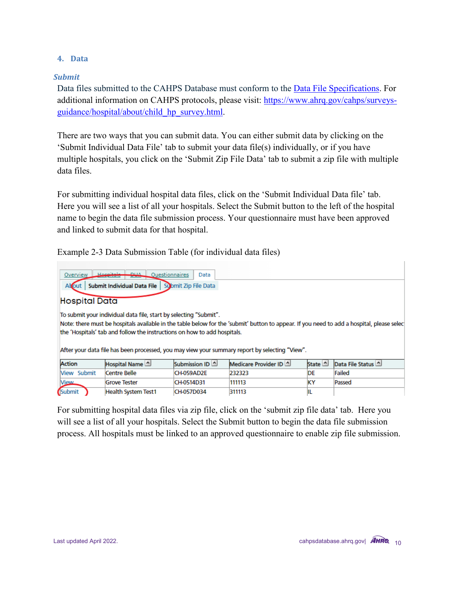### **4. Data**

### *Submit*

Data files submitted to the CAHPS Database must conform to the **Data File Specifications**. For additional information on CAHPS protocols, please visit: [https://www.ahrq.gov/cahps/surveys](https://www.ahrq.gov/cahps/surveys-guidance/hospital/about/child_hp_survey.html)[guidance/hospital/about/child\\_hp\\_survey.html.](https://www.ahrq.gov/cahps/surveys-guidance/hospital/about/child_hp_survey.html)

There are two ways that you can submit data. You can either submit data by clicking on the 'Submit Individual Data File' tab to submit your data file(s) individually, or if you have multiple hospitals, you click on the 'Submit Zip File Data' tab to submit a zip file with multiple data files.

For submitting individual hospital data files, click on the 'Submit Individual Data file' tab. Here you will see a list of all your hospitals. Select the Submit button to the left of the hospital name to begin the data file submission process. Your questionnaire must have been approved and linked to submit data for that hospital.

Example 2-3 Data Submission Table (for individual data files)

| Hoopitale<br><b>DUA</b><br>Overview<br>Questionnaires<br>Data                                                                                                                                                                                                                                                                                                                                 |                            |                 |                        |                    |                  |  |  |  |
|-----------------------------------------------------------------------------------------------------------------------------------------------------------------------------------------------------------------------------------------------------------------------------------------------------------------------------------------------------------------------------------------------|----------------------------|-----------------|------------------------|--------------------|------------------|--|--|--|
| Submit Individual Data File<br>Altout<br>Submit Zip File Data                                                                                                                                                                                                                                                                                                                                 |                            |                 |                        |                    |                  |  |  |  |
| <b>Hospital Data</b>                                                                                                                                                                                                                                                                                                                                                                          |                            |                 |                        |                    |                  |  |  |  |
| To submit your individual data file, start by selecting "Submit".<br>Note: there must be hospitals available in the table below for the 'submit' button to appear. If you need to add a hospital, please select<br>the 'Hospitals' tab and follow the instructions on how to add hospitals.<br>After your data file has been processed, you may view your summary report by selecting "View". |                            |                 |                        |                    |                  |  |  |  |
| Action                                                                                                                                                                                                                                                                                                                                                                                        | Hospital Name              | Submission ID 4 | Medicare Provider ID 4 | State <sup>1</sup> | Data File Status |  |  |  |
| View Submit                                                                                                                                                                                                                                                                                                                                                                                   | <b>Centre Belle</b>        | CH-059AD2E      | 232323                 | DE                 | Failed           |  |  |  |
| <b>View</b>                                                                                                                                                                                                                                                                                                                                                                                   | <b>Grove Tester</b>        | CH-0514D31      | 111113                 | KΥ                 | Passed           |  |  |  |
| Submit                                                                                                                                                                                                                                                                                                                                                                                        | <b>Health System Test1</b> | CH-057D034      | 311113                 | IL                 |                  |  |  |  |

For submitting hospital data files via zip file, click on the 'submit zip file data' tab. Here you will see a list of all your hospitals. Select the Submit button to begin the data file submission process. All hospitals must be linked to an approved questionnaire to enable zip file submission.